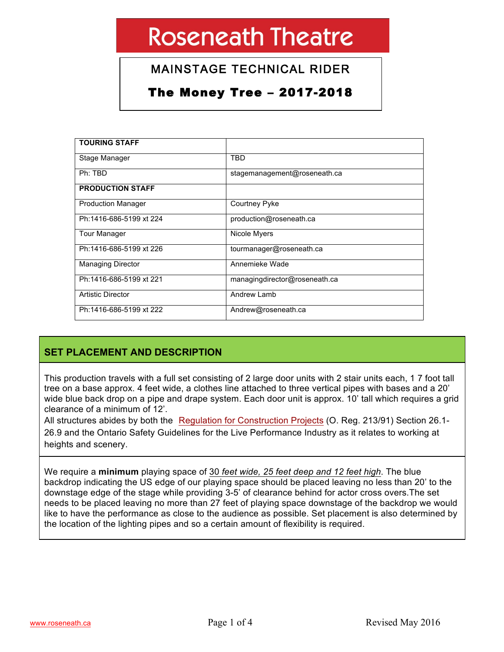# MAINSTAGE TECHNICAL RIDER

# The Money Tree – 2017-2018

| <b>TOURING STAFF</b>      |                               |
|---------------------------|-------------------------------|
| Stage Manager             | TBD                           |
| Ph: TBD                   | stagemanagement@roseneath.ca  |
| <b>PRODUCTION STAFF</b>   |                               |
| <b>Production Manager</b> | Courtney Pyke                 |
| Ph:1416-686-5199 xt 224   | production@roseneath.ca       |
| <b>Tour Manager</b>       | Nicole Myers                  |
| Ph:1416-686-5199 xt 226   | tourmanager@roseneath.ca      |
| <b>Managing Director</b>  | Annemieke Wade                |
| Ph:1416-686-5199 xt 221   | managingdirector@roseneath.ca |
| Artistic Director         | Andrew Lamb                   |
| Ph:1416-686-5199 xt 222   | Andrew@roseneath.ca           |

## **SET PLACEMENT AND DESCRIPTION**

This production travels with a full set consisting of 2 large door units with 2 stair units each, 1 7 foot tall tree on a base approx. 4 feet wide, a clothes line attached to three vertical pipes with bases and a 20' wide blue back drop on a pipe and drape system. Each door unit is approx. 10' tall which requires a grid clearance of a minimum of 12'.

All structures abides by both the Regulation for Construction Projects (O. Reg. 213/91) Section 26.1- 26.9 and the Ontario Safety Guidelines for the Live Performance Industry as it relates to working at heights and scenery.

We require a **minimum** playing space of 30 *feet wide, 25 feet deep and 12 feet high*. The blue backdrop indicating the US edge of our playing space should be placed leaving no less than 20' to the downstage edge of the stage while providing 3-5' of clearance behind for actor cross overs.The set needs to be placed leaving no more than 27 feet of playing space downstage of the backdrop we would like to have the performance as close to the audience as possible. Set placement is also determined by the location of the lighting pipes and so a certain amount of flexibility is required.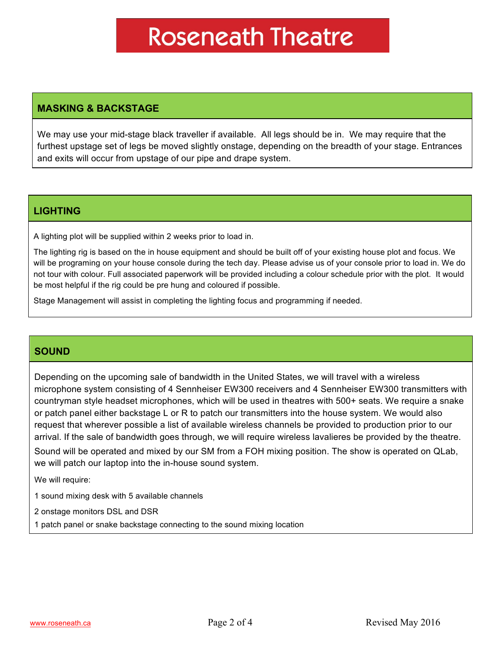### **MASKING & BACKSTAGE**

We may use your mid-stage black traveller if available. All legs should be in. We may require that the furthest upstage set of legs be moved slightly onstage, depending on the breadth of your stage. Entrances and exits will occur from upstage of our pipe and drape system.

#### **LIGHTING**

A lighting plot will be supplied within 2 weeks prior to load in.

The lighting rig is based on the in house equipment and should be built off of your existing house plot and focus. We will be programing on your house console during the tech day. Please advise us of your console prior to load in. We do not tour with colour. Full associated paperwork will be provided including a colour schedule prior with the plot. It would be most helpful if the rig could be pre hung and coloured if possible.

Stage Management will assist in completing the lighting focus and programming if needed.

### **SOUND**

Depending on the upcoming sale of bandwidth in the United States, we will travel with a wireless microphone system consisting of 4 Sennheiser EW300 receivers and 4 Sennheiser EW300 transmitters with countryman style headset microphones, which will be used in theatres with 500+ seats. We require a snake or patch panel either backstage L or R to patch our transmitters into the house system. We would also request that wherever possible a list of available wireless channels be provided to production prior to our arrival. If the sale of bandwidth goes through, we will require wireless lavalieres be provided by the theatre. Sound will be operated and mixed by our SM from a FOH mixing position. The show is operated on QLab, we will patch our laptop into the in-house sound system.

We will require:

1 sound mixing desk with 5 available channels

2 onstage monitors DSL and DSR

1 patch panel or snake backstage connecting to the sound mixing location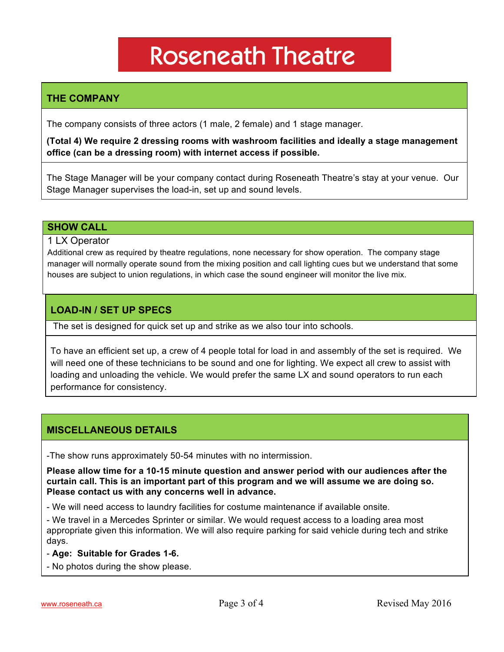## **THE COMPANY**

The company consists of three actors (1 male, 2 female) and 1 stage manager.

**(Total 4) We require 2 dressing rooms with washroom facilities and ideally a stage management office (can be a dressing room) with internet access if possible.**

The Stage Manager will be your company contact during Roseneath Theatre's stay at your venue. Our Stage Manager supervises the load-in, set up and sound levels.

#### **SHOW CALL**

1 LX Operator

Additional crew as required by theatre regulations, none necessary for show operation. The company stage manager will normally operate sound from the mixing position and call lighting cues but we understand that some houses are subject to union regulations, in which case the sound engineer will monitor the live mix.

#### **LOAD-IN / SET UP SPECS**

The set is designed for quick set up and strike as we also tour into schools.

To have an efficient set up, a crew of 4 people total for load in and assembly of the set is required. We will need one of these technicians to be sound and one for lighting. We expect all crew to assist with loading and unloading the vehicle. We would prefer the same LX and sound operators to run each performance for consistency.

#### **MISCELLANEOUS DETAILS**

-The show runs approximately 50-54 minutes with no intermission.

**Please allow time for a 10-15 minute question and answer period with our audiences after the curtain call. This is an important part of this program and we will assume we are doing so. Please contact us with any concerns well in advance.**

- We will need access to laundry facilities for costume maintenance if available onsite.

- We travel in a Mercedes Sprinter or similar. We would request access to a loading area most appropriate given this information. We will also require parking for said vehicle during tech and strike days.

- **Age: Suitable for Grades 1-6.**
- No photos during the show please.